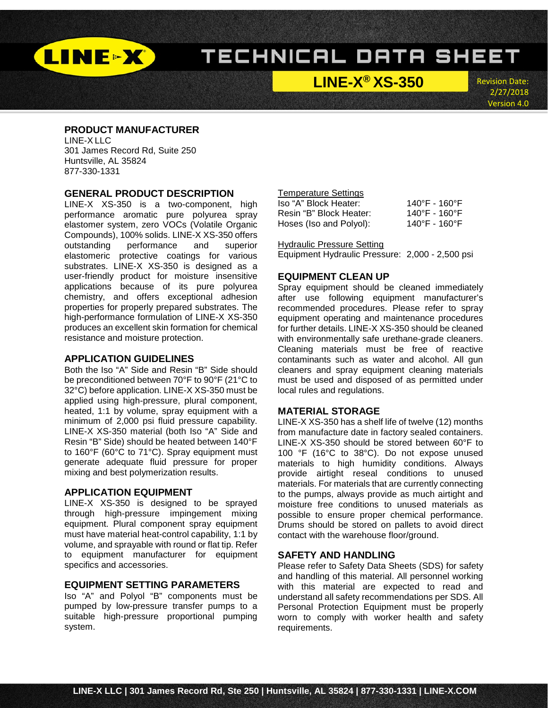

**LINE-X® XS-350**

Revision Date: 2/27/2018 Version 4.0

### **PRODUCT MANUFACTURER**

LINE-X LLC 301 James Record Rd, Suite 250 Huntsville, AL 35824 877-330-1331

### **GENERAL PRODUCT DESCRIPTION**

LINE-X XS-350 is a two-component, high performance aromatic pure polyurea spray elastomer system, zero VOCs (Volatile Organic Compounds), 100% solids. LINE-X XS-350 offers outstanding performance and superior elastomeric protective coatings for various substrates. LINE-X XS-350 is designed as a user-friendly product for moisture insensitive applications because of its pure polyurea chemistry, and offers exceptional adhesion properties for properly prepared substrates. The high-performance formulation of LINE-X XS-350 produces an excellent skin formation for chemical resistance and moisture protection.

### **APPLICATION GUIDELINES**

Both the Iso "A" Side and Resin "B" Side should be preconditioned between 70°F to 90°F (21°C to 32°C) before application. LINE-X XS-350 must be applied using high-pressure, plural component, heated, 1:1 by volume, spray equipment with a minimum of 2,000 psi fluid pressure capability. LINE-X XS-350 material (both Iso "A" Side and Resin "B" Side) should be heated between 140°F to 160°F (60°C to 71°C). Spray equipment must generate adequate fluid pressure for proper mixing and best polymerization results.

### **APPLICATION EQUIPMENT**

LINE-X XS-350 is designed to be sprayed through high-pressure impingement mixing equipment. Plural component spray equipment must have material heat-control capability, 1:1 by volume, and sprayable with round or flat tip. Refer to equipment manufacturer for equipment specifics and accessories.

## **EQUIPMENT SETTING PARAMETERS**

Iso "A" and Polyol "B" components must be pumped by low-pressure transfer pumps to a suitable high-pressure proportional pumping system.

# Temperature Settings

| Iso "A" Block Heater:   | 140°F - 160°F           |
|-------------------------|-------------------------|
| Resin "B" Block Heater: | 140°F - 160°F           |
| Hoses (Iso and Polyol): | $140^{\circ}$ F - 160°F |

#### Hydraulic Pressure Setting

Equipment Hydraulic Pressure: 2,000 - 2,500 psi

### **EQUIPMENT CLEAN UP**

Spray equipment should be cleaned immediately after use following equipment manufacturer's recommended procedures. Please refer to spray equipment operating and maintenance procedures for further details. LINE-X XS-350 should be cleaned with environmentally safe urethane-grade cleaners. Cleaning materials must be free of reactive contaminants such as water and alcohol. All gun cleaners and spray equipment cleaning materials must be used and disposed of as permitted under local rules and regulations.

#### **MATERIAL STORAGE**

LINE-X XS-350 has a shelf life of twelve (12) months from manufacture date in factory sealed containers. LINE-X XS-350 should be stored between 60°F to 100 °F (16°C to 38°C). Do not expose unused materials to high humidity conditions. Always provide airtight reseal conditions to unused materials. For materials that are currently connecting to the pumps, always provide as much airtight and moisture free conditions to unused materials as possible to ensure proper chemical performance. Drums should be stored on pallets to avoid direct contact with the warehouse floor/ground.

### **SAFETY AND HANDLING**

Please refer to Safety Data Sheets (SDS) for safety and handling of this material. All personnel working with this material are expected to read and understand all safety recommendations per SDS. All Personal Protection Equipment must be properly worn to comply with worker health and safety requirements.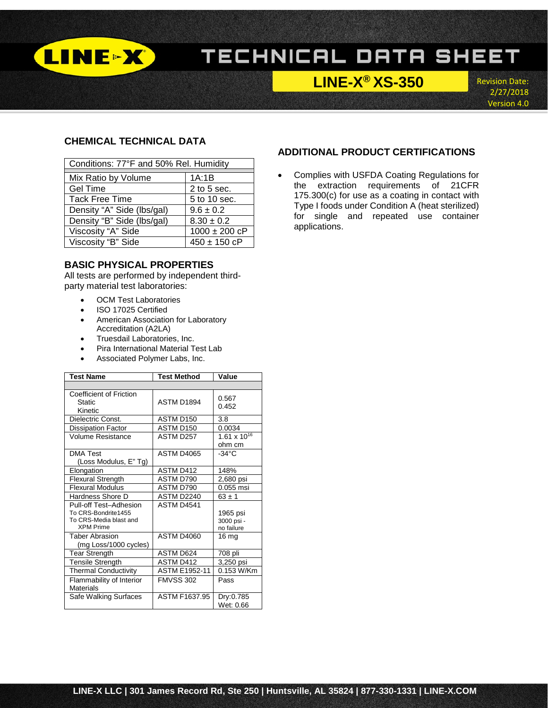

# **LINE-X® XS-350**

Revision Date: 2/27/2018 Version 4.0

# **CHEMICAL TECHNICAL DATA**

| Conditions: 77°F and 50% Rel. Humidity |                   |  |  |  |
|----------------------------------------|-------------------|--|--|--|
| Mix Ratio by Volume                    | 1A:1B             |  |  |  |
| <b>Gel Time</b>                        | $2$ to $5$ sec.   |  |  |  |
| <b>Tack Free Time</b>                  | 5 to 10 sec.      |  |  |  |
| Density "A" Side (lbs/gal)             | $9.6 \pm 0.2$     |  |  |  |
| Density "B" Side (lbs/gal)             | $8.30 \pm 0.2$    |  |  |  |
| Viscosity "A" Side                     | $1000 \pm 200$ cP |  |  |  |
| Viscosity "B" Side<br>$450 \pm 150$ cP |                   |  |  |  |

## **BASIC PHYSICAL PROPERTIES**

All tests are performed by independent thirdparty material test laboratories:

- OCM Test Laboratories
- ISO 17025 Certified
- American Association for Laboratory Accreditation (A2LA)
- Truesdail Laboratories, Inc.
- Pira International Material Test Lab
- Associated Polymer Labs, Inc.

| <b>Test Name</b>                                                                            | <b>Test Method</b>   | Value                                |  |
|---------------------------------------------------------------------------------------------|----------------------|--------------------------------------|--|
|                                                                                             |                      |                                      |  |
| <b>Coefficient of Friction</b><br><b>Static</b><br>Kinetic                                  | ASTM D1894           | 0.567<br>0.452                       |  |
| Dielectric Const.                                                                           | ASTM D150            | 3.8                                  |  |
| <b>Dissipation Factor</b>                                                                   | ASTM D150            | 0.0034                               |  |
| Volume Resistance                                                                           | ASTM D257            | $1.61 \times 10^{16}$<br>ohm cm      |  |
| <b>DMA Test</b><br>(Loss Modulus, E" Tg)                                                    | ASTM D4065           | $-34^{\circ}$ C                      |  |
| Elongation                                                                                  | ASTM D412            | 148%                                 |  |
| <b>Flexural Strength</b>                                                                    | ASTM D790            | 2,680 psi                            |  |
| <b>Flexural Modulus</b>                                                                     | ASTM D790            | 0.055 msi                            |  |
| Hardness Shore D                                                                            | ASTM D2240           | $63 \pm 1$                           |  |
| Pull-off Test-Adhesion<br>To CRS-Bondrite1455<br>To CRS-Media blast and<br><b>XPM Prime</b> | ASTM D4541           | 1965 psi<br>3000 psi -<br>no failure |  |
| <b>Taber Abrasion</b><br>(mg Loss/1000 cycles)                                              | <b>ASTM D4060</b>    | 16 mg                                |  |
| <b>Tear Strength</b>                                                                        | ASTM D624            | 708 pli                              |  |
| <b>Tensile Strength</b>                                                                     | ASTM D412            | 3,250 psi                            |  |
| <b>Thermal Conductivity</b>                                                                 | <b>ASTM E1952-11</b> | 0.153 W/Km                           |  |
| Flammability of Interior<br>Materials                                                       | <b>FMVSS 302</b>     | Pass                                 |  |
| Safe Walking Surfaces                                                                       | ASTM F1637.95        | Dry:0.785<br>Wet: 0.66               |  |

### **ADDITIONAL PRODUCT CERTIFICATIONS**

• Complies with USFDA Coating Regulations for the extraction requirements of 21CFR 175.300(c) for use as a coating in contact with Type I foods under Condition A (heat sterilized) for single and repeated use container applications.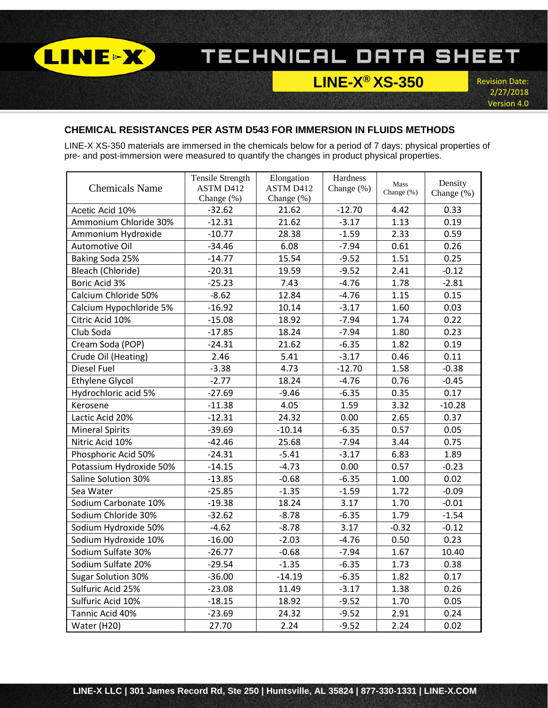

# **LINE-X® XS-350**

Revision Date: 2/27/2018 Version 4.0

# **CHEMICAL RESISTANCES PER ASTM D543 FOR IMMERSION IN FLUIDS METHODS**

LINE-X XS-350 materials are immersed in the chemicals below for a period of 7 days; physical properties of pre- and post-immersion were measured to quantify the changes in product physical properties.

| <b>Chemicals Name</b>     | <b>Tensile Strength</b><br>ASTM D412 | Elongation<br>ASTM D412 | Hardness<br>Change (%) | Mass<br>Change (%) | Density<br>Change (%) |
|---------------------------|--------------------------------------|-------------------------|------------------------|--------------------|-----------------------|
| Acetic Acid 10%           | Change (%)<br>$-32.62$               | Change (%)<br>21.62     | $-12.70$               | 4.42               | 0.33                  |
| Ammonium Chloride 30%     | $-12.31$                             | 21.62                   | $-3.17$                | 1.13               | 0.19                  |
| Ammonium Hydroxide        | $-10.77$                             | 28.38                   | $-1.59$                | 2.33               | 0.59                  |
| Automotive Oil            | $-34.46$                             | 6.08                    | $-7.94$                | 0.61               | 0.26                  |
| Baking Soda 25%           | $-14.77$                             | 15.54                   | $-9.52$                | 1.51               | 0.25                  |
| Bleach (Chloride)         | $-20.31$                             | 19.59                   | $-9.52$                | 2.41               | $-0.12$               |
| <b>Boric Acid 3%</b>      | $-25.23$                             | 7.43                    | $-4.76$                | 1.78               | $-2.81$               |
| Calcium Chloride 50%      | $-8.62$                              | 12.84                   | $-4.76$                | 1.15               | 0.15                  |
| Calcium Hypochloride 5%   | $-16.92$                             | 10.14                   | $-3.17$                | 1.60               | 0.03                  |
| Citric Acid 10%           | $-15.08$                             | 18.92                   | $-7.94$                | 1.74               | 0.22                  |
| Club Soda                 | $-17.85$                             | 18.24                   | $-7.94$                | 1.80               | 0.23                  |
| Cream Soda (POP)          | $-24.31$                             | 21.62                   | $-6.35$                | 1.82               | 0.19                  |
| Crude Oil (Heating)       | 2.46                                 | 5.41                    | $-3.17$                | 0.46               | 0.11                  |
| <b>Diesel Fuel</b>        | $-3.38$                              | 4.73                    | $-12.70$               | 1.58               | $-0.38$               |
| <b>Ethylene Glycol</b>    | $-2.77$                              | 18.24                   | $-4.76$                | 0.76               | $-0.45$               |
| Hydrochloric acid 5%      | $-27.69$                             | $-9.46$                 | $-6.35$                | 0.35               | 0.17                  |
| Kerosene                  | $-11.38$                             | 4.05                    | 1.59                   | 3.32               | $-10.28$              |
| Lactic Acid 20%           | $-12.31$                             | 24.32                   | 0.00                   | 2.65               | 0.37                  |
| <b>Mineral Spirits</b>    | $-39.69$                             | $-10.14$                | $-6.35$                | 0.57               | 0.05                  |
| Nitric Acid 10%           | $-42.46$                             | 25.68                   | $-7.94$                | 3.44               | 0.75                  |
| Phosphoric Acid 50%       | $-24.31$                             | $-5.41$                 | $-3.17$                | 6.83               | 1.89                  |
| Potassium Hydroxide 50%   | $-14.15$                             | $-4.73$                 | 0.00                   | 0.57               | $-0.23$               |
| Saline Solution 30%       | $-13.85$                             | $-0.68$                 | $-6.35$                | 1.00               | 0.02                  |
| Sea Water                 | $-25.85$                             | $-1.35$                 | $-1.59$                | 1.72               | $-0.09$               |
| Sodium Carbonate 10%      | $-19.38$                             | 18.24                   | 3.17                   | 1.70               | $-0.01$               |
| Sodium Chloride 30%       | $-32.62$                             | $-8.78$                 | $-6.35$                | 1.79               | $-1.54$               |
| Sodium Hydroxide 50%      | $-4.62$                              | $-8.78$                 | 3.17                   | $-0.32$            | $-0.12$               |
| Sodium Hydroxide 10%      | $-16.00$                             | $-2.03$                 | $-4.76$                | 0.50               | 0.23                  |
| Sodium Sulfate 30%        | $-26.77$                             | $-0.68$                 | $-7.94$                | 1.67               | 10.40                 |
| Sodium Sulfate 20%        | $-29.54$                             | $-1.35$                 | $-6.35$                | 1.73               | 0.38                  |
| <b>Sugar Solution 30%</b> | $-36.00$                             | $-14.19$                | $-6.35$                | 1.82               | 0.17                  |
| Sulfuric Acid 25%         | $-23.08$                             | 11.49                   | $-3.17$                | 1.38               | 0.26                  |
| Sulfuric Acid 10%         | $-18.15$                             | 18.92                   | $-9.52$                | 1.70               | 0.05                  |
| Tannic Acid 40%           | $-23.69$                             | 24.32                   | $-9.52$                | 2.91               | 0.24                  |
| Water (H20)               | 27.70                                | 2.24                    | $-9.52$                | 2.24               | 0.02                  |